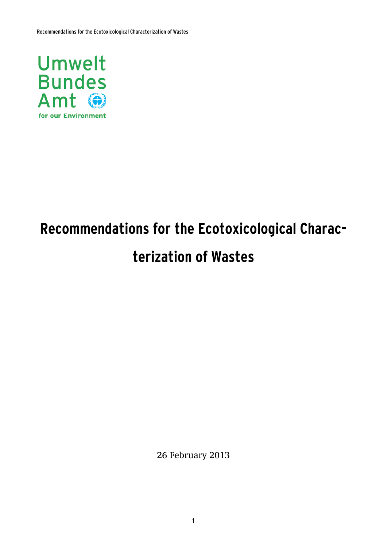

# **Recommendations for the Ecotoxicological Characterization of Wastes**

26 February 2013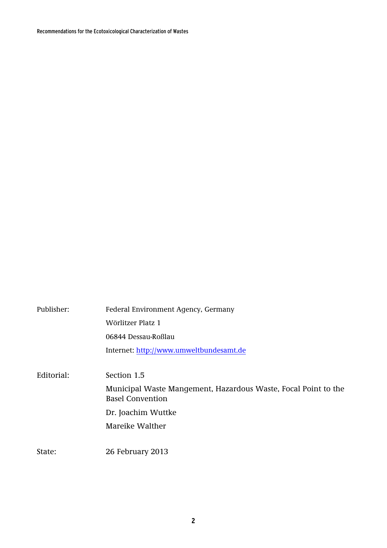Recommendations for the Ecotoxicological Characterization of Wastes

| Publisher: | Federal Environment Agency, Germany<br>Wörlitzer Platz 1<br>06844 Dessau-Roßlau                                                                   |
|------------|---------------------------------------------------------------------------------------------------------------------------------------------------|
|            | Internet: http://www.umweltbundesamt.de                                                                                                           |
| Editorial: | Section 1.5<br>Municipal Waste Mangement, Hazardous Waste, Focal Point to the<br><b>Basel Convention</b><br>Dr. Joachim Wuttke<br>Mareike Walther |
| State:     | 26 February 2013                                                                                                                                  |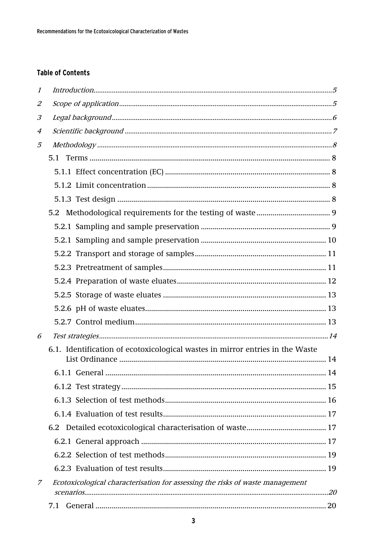## **Table of Contents**

| $\mathcal{I}$ |                                                                               |  |
|---------------|-------------------------------------------------------------------------------|--|
| 2             |                                                                               |  |
| 3             |                                                                               |  |
| 4             |                                                                               |  |
| 5             |                                                                               |  |
|               | 5.1                                                                           |  |
|               |                                                                               |  |
|               |                                                                               |  |
|               |                                                                               |  |
|               | 5.2                                                                           |  |
|               |                                                                               |  |
|               |                                                                               |  |
|               |                                                                               |  |
|               |                                                                               |  |
|               |                                                                               |  |
|               |                                                                               |  |
|               |                                                                               |  |
|               |                                                                               |  |
| 6             |                                                                               |  |
|               | 6.1. Identification of ecotoxicological wastes in mirror entries in the Waste |  |
|               |                                                                               |  |
|               |                                                                               |  |
|               |                                                                               |  |
|               |                                                                               |  |
|               | 6.2                                                                           |  |
|               |                                                                               |  |
|               |                                                                               |  |
|               |                                                                               |  |
|               |                                                                               |  |
| Ζ             | Ecotoxicological characterisation for assessing the risks of waste management |  |
|               | 7.1                                                                           |  |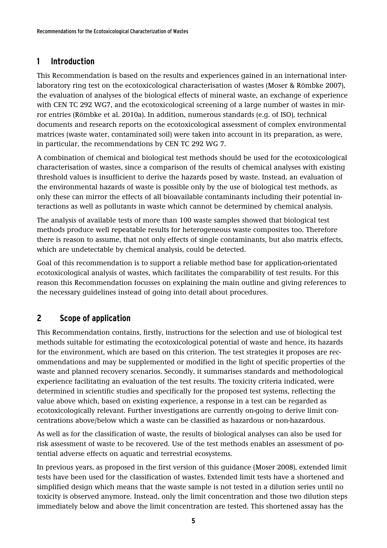## <span id="page-4-0"></span>**1 Introduction**

This Recommendation is based on the results and experiences gained in an international interlaboratory ring test on the ecotoxicological characterisation of wastes (Moser & Römbke 2007), the evaluation of analyses of the biological effects of mineral waste, an exchange of experience with CEN TC 292 WG7, and the ecotoxicological screening of a large number of wastes in mirror entries (Römbke et al. 2010a). In addition, numerous standards (e.g. of ISO), technical documents and research reports on the ecotoxicological assessment of complex environmental matrices (waste water, contaminated soil) were taken into account in its preparation, as were, in particular, the recommendations by CEN TC 292 WG 7.

A combination of chemical and biological test methods should be used for the ecotoxicological characterisation of wastes, since a comparison of the results of chemical analyses with existing threshold values is insufficient to derive the hazards posed by waste. Instead, an evaluation of the environmental hazards of waste is possible only by the use of biological test methods, as only these can mirror the effects of all bioavailable contaminants including their potential interactions as well as pollutants in waste which cannot be determined by chemical analysis.

The analysis of available tests of more than 100 waste samples showed that biological test methods produce well repeatable results for heterogeneous waste composites too. Therefore there is reason to assume, that not only effects of single contaminants, but also matrix effects, which are undetectable by chemical analysis, could be detected.

Goal of this recommendation is to support a reliable method base for application-orientated ecotoxicological analysis of wastes, which facilitates the comparability of test results. For this reason this Recommendation focusses on explaining the main outline and giving references to the necessary guidelines instead of going into detail about procedures.

# <span id="page-4-1"></span>**2 Scope of application**

This Recommendation contains, firstly, instructions for the selection and use of biological test methods suitable for estimating the ecotoxicological potential of waste and hence, its hazards for the environment, which are based on this criterion. The test strategies it proposes are recommendations and may be supplemented or modified in the light of specific properties of the waste and planned recovery scenarios. Secondly, it summarises standards and methodological experience facilitating an evaluation of the test results. The toxicity criteria indicated, were determined in scientific studies and specifically for the proposed test systems, reflecting the value above which, based on existing experience, a response in a test can be regarded as ecotoxicologically relevant. Further investigations are currently on-going to derive limit concentrations above/below which a waste can be classified as hazardous or non-hazardous.

As well as for the classification of waste, the results of biological analyses can also be used for risk assessment of waste to be recovered. Use of the test methods enables an assessment of potential adverse effects on aquatic and terrestrial ecosystems.

In previous years, as proposed in the first version of this guidance (Moser 2008), extended limit tests have been used for the classification of wastes. Extended limit tests have a shortened and simplified design which means that the waste sample is not tested in a dilution series until no toxicity is observed anymore. Instead, only the limit concentration and those two dilution steps immediately below and above the limit concentration are tested. This shortened assay has the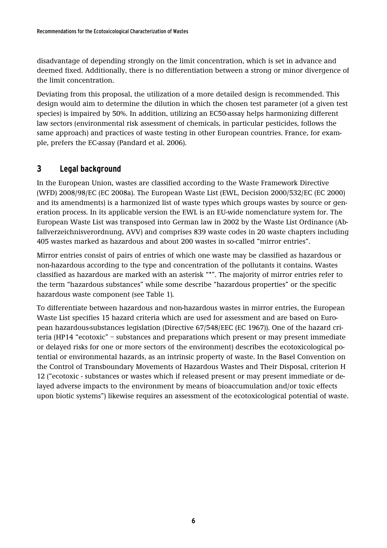disadvantage of depending strongly on the limit concentration, which is set in advance and deemed fixed. Additionally, there is no differentiation between a strong or minor divergence of the limit concentration.

Deviating from this proposal, the utilization of a more detailed design is recommended. This design would aim to determine the dilution in which the chosen test parameter (of a given test species) is impaired by 50%. In addition, utilizing an EC50-assay helps harmonizing different law sectors (environmental risk assessment of chemicals, in particular pesticides, follows the same approach) and practices of waste testing in other European countries. France, for example, prefers the EC-assay (Pandard et al. 2006).

## <span id="page-5-0"></span>**3 Legal background**

In the European Union, wastes are classified according to the Waste Framework Directive (WFD) 2008/98/EC (EC 2008a). The European Waste List (EWL, Decision 2000/532/EC (EC 2000) and its amendments) is a harmonized list of waste types which groups wastes by source or generation process. In its applicable version the EWL is an EU-wide nomenclature system for. The European Waste List was transposed into German law in 2002 by the Waste List Ordinance (Abfallverzeichnisverordnung, AVV) and comprises 839 waste codes in 20 waste chapters including 405 wastes marked as hazardous and about 200 wastes in so-called "mirror entries".

Mirror entries consist of pairs of entries of which one waste may be classified as hazardous or non-hazardous according to the type and concentration of the pollutants it contains. Wastes classified as hazardous are marked with an asterisk "\*". The majority of mirror entries refer to the term "hazardous substances" while some describe "hazardous properties" or the specific hazardous waste component (see Table 1).

To differentiate between hazardous and non-hazardous wastes in mirror entries, the European Waste List specifies 15 hazard criteria which are used for assessment and are based on European hazardous-substances legislation (Directive 67/548/EEC (EC 1967)). One of the hazard criteria (HP14 "ecotoxic" – substances and preparations which present or may present immediate or delayed risks for one or more sectors of the environment) describes the ecotoxicological potential or environmental hazards, as an intrinsic property of waste. In the Basel Convention on the Control of Transboundary Movements of Hazardous Wastes and Their Disposal, criterion H 12 ("ecotoxic - substances or wastes which if released present or may present immediate or delayed adverse impacts to the environment by means of bioaccumulation and/or toxic effects upon biotic systems") likewise requires an assessment of the ecotoxicological potential of waste.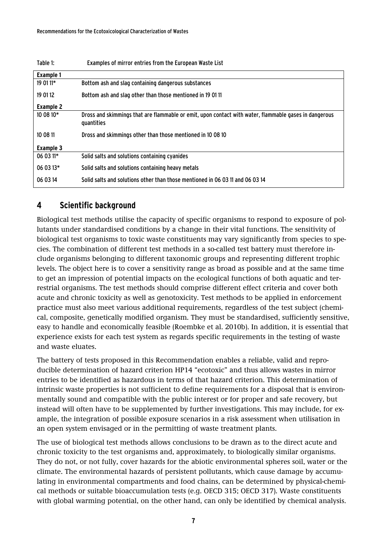| Table 1:         | Examples of mirror entries from the European Waste List                                                             |
|------------------|---------------------------------------------------------------------------------------------------------------------|
| <b>Example 1</b> |                                                                                                                     |
| 19 01 11*        | Bottom ash and slag containing dangerous substances                                                                 |
| 19 01 12         | Bottom ash and slag other than those mentioned in 19 01 11                                                          |
| Example 2        |                                                                                                                     |
| 10 08 10*        | Dross and skimmings that are flammable or emit, upon contact with water, flammable gases in dangerous<br>quantities |
| 10 08 11         | Dross and skimmings other than those mentioned in 10 08 10                                                          |
| Example 3        |                                                                                                                     |
| $060311*$        | Solid salts and solutions containing cyanides                                                                       |
| 06 03 13*        | Solid salts and solutions containing heavy metals                                                                   |
| 06 03 14         | Solid salts and solutions other than those mentioned in 06 03 11 and 06 03 14                                       |

## <span id="page-6-0"></span>**4 Scientific background**

Biological test methods utilise the capacity of specific organisms to respond to exposure of pollutants under standardised conditions by a change in their vital functions. The sensitivity of biological test organisms to toxic waste constituents may vary significantly from species to species. The combination of different test methods in a so-called test battery must therefore include organisms belonging to different taxonomic groups and representing different trophic levels. The object here is to cover a sensitivity range as broad as possible and at the same time to get an impression of potential impacts on the ecological functions of both aquatic and terrestrial organisms. The test methods should comprise different effect criteria and cover both acute and chronic toxicity as well as genotoxicity. Test methods to be applied in enforcement practice must also meet various additional requirements, regardless of the test subject (chemical, composite, genetically modified organism. They must be standardised, sufficiently sensitive, easy to handle and economically feasible (Roembke et al. 2010b). In addition, it is essential that experience exists for each test system as regards specific requirements in the testing of waste and waste eluates.

The battery of tests proposed in this Recommendation enables a reliable, valid and reproducible determination of hazard criterion HP14 "ecotoxic" and thus allows wastes in mirror entries to be identified as hazardous in terms of that hazard criterion. This determination of intrinsic waste properties is not sufficient to define requirements for a disposal that is environmentally sound and compatible with the public interest or for proper and safe recovery, but instead will often have to be supplemented by further investigations. This may include, for example, the integration of possible exposure scenarios in a risk assessment when utilisation in an open system envisaged or in the permitting of waste treatment plants.

The use of biological test methods allows conclusions to be drawn as to the direct acute and chronic toxicity to the test organisms and, approximately, to biologically similar organisms. They do not, or not fully, cover hazards for the abiotic environmental spheres soil, water or the climate. The environmental hazards of persistent pollutants, which cause damage by accumulating in environmental compartments and food chains, can be determined by physical-chemical methods or suitable bioaccumulation tests (e.g. OECD 315; OECD 317). Waste constituents with global warming potential, on the other hand, can only be identified by chemical analysis.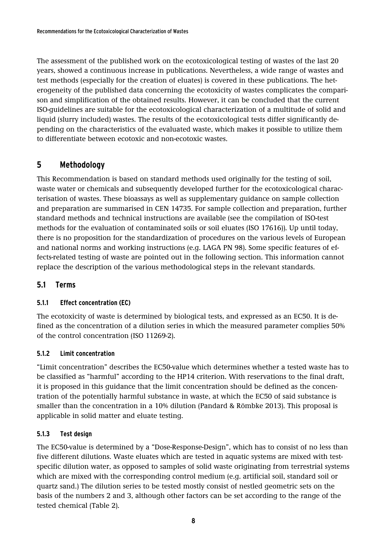The assessment of the published work on the ecotoxicological testing of wastes of the last 20 years, showed a continuous increase in publications. Nevertheless, a wide range of wastes and test methods (especially for the creation of eluates) is covered in these publications. The heterogeneity of the published data concerning the ecotoxicity of wastes complicates the comparison and simplification of the obtained results. However, it can be concluded that the current ISO-guidelines are suitable for the ecotoxicological characterization of a multitude of solid and liquid (slurry included) wastes. The results of the ecotoxicological tests differ significantly depending on the characteristics of the evaluated waste, which makes it possible to utilize them to differentiate between ecotoxic and non-ecotoxic wastes.

## <span id="page-7-0"></span>**5 Methodology**

This Recommendation is based on standard methods used originally for the testing of soil, waste water or chemicals and subsequently developed further for the ecotoxicological characterisation of wastes. These bioassays as well as supplementary guidance on sample collection and preparation are summarised in CEN 14735. For sample collection and preparation, further standard methods and technical instructions are available (see the compilation of ISO-test methods for the evaluation of contaminated soils or soil eluates (ISO 17616)). Up until today, there is no proposition for the standardization of procedures on the various levels of European and national norms and working instructions (e.g. LAGA PN 98). Some specific features of effects-related testing of waste are pointed out in the following section. This information cannot replace the description of the various methodological steps in the relevant standards.

## <span id="page-7-2"></span><span id="page-7-1"></span>**5.1 Terms**

## **5.1.1 Effect concentration (EC)**

The ecotoxicity of waste is determined by biological tests, and expressed as an EC50. It is defined as the concentration of a dilution series in which the measured parameter complies 50% of the control concentration (ISO 11269-2).

## <span id="page-7-3"></span>**5.1.2 Limit concentration**

"Limit concentration" describes the EC50-value which determines whether a tested waste has to be classified as "harmful" according to the HP14 criterion. With reservations to the final draft, it is proposed in this guidance that the limit concentration should be defined as the concentration of the potentially harmful substance in waste, at which the EC50 of said substance is smaller than the concentration in a 10% dilution (Pandard & Römbke 2013). This proposal is applicable in solid matter and eluate testing.

## <span id="page-7-4"></span>**5.1.3 Test design**

The EC50-value is determined by a "Dose-Response-Design", which has to consist of no less than five different dilutions. Waste eluates which are tested in aquatic systems are mixed with testspecific dilution water, as opposed to samples of solid waste originating from terrestrial systems which are mixed with the corresponding control medium (e.g. artificial soil, standard soil or quartz sand.) The dilution series to be tested mostly consist of nestled geometric sets on the basis of the numbers 2 and 3, although other factors can be set according to the range of the tested chemical (Table 2).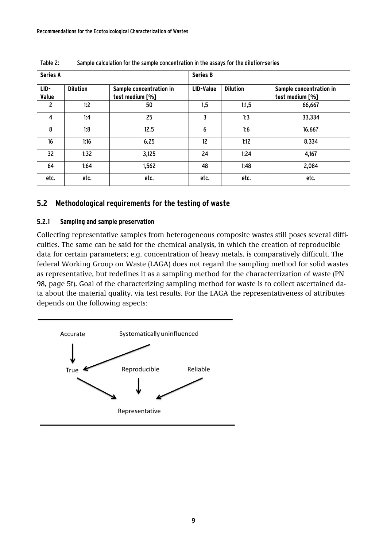| <b>Series A</b> |                 |                                            | <b>Series B</b> |                 |                                            |
|-----------------|-----------------|--------------------------------------------|-----------------|-----------------|--------------------------------------------|
| LID-<br>Value   | <b>Dilution</b> | Sample concentration in<br>test medium [%] | LID-Value       | <b>Dilution</b> | Sample concentration in<br>test medium [%] |
| $\overline{c}$  | 1:2             | 50                                         | 1,5             | 1:1,5           | 66,667                                     |
| 4               | 1:4             | 25                                         | 3               | 1:3             | 33,334                                     |
| 8               | 1:8             | 12,5                                       | 6               | 1:6             | 16,667                                     |
| 16              | 1:16            | 6,25                                       | 12              | 1:12            | 8,334                                      |
| 32              | 1:32            | 3,125                                      | 24              | 1:24            | 4,167                                      |
| 64              | 1:64            | 1,562                                      | 48              | 1:48            | 2,084                                      |
| etc.            | etc.            | etc.                                       | etc.            | etc.            | etc.                                       |

Table 2: Sample calculation for the sample concentration in the assays for the dilution-series

## <span id="page-8-0"></span>**5.2 Methodological requirements for the testing of waste**

#### <span id="page-8-1"></span>**5.2.1 Sampling and sample preservation**

Collecting representative samples from heterogeneous composite wastes still poses several difficulties. The same can be said for the chemical analysis, in which the creation of reproducible data for certain parameters; e.g. concentration of heavy metals, is comparatively difficult. The federal Working Group on Waste (LAGA) does not regard the sampling method for solid wastes as representative, but redefines it as a sampling method for the characterrization of waste (PN 98, page 5f). Goal of the characterizing sampling method for waste is to collect ascertained data about the material quality, via test results. For the LAGA the representativeness of attributes depends on the following aspects:

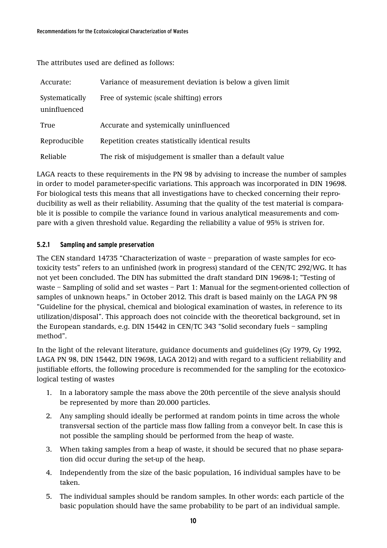The attributes used are defined as follows:

| Accurate:                      | Variance of measurement deviation is below a given limit |
|--------------------------------|----------------------------------------------------------|
| Systematically<br>uninfluenced | Free of systemic (scale shifting) errors                 |
| True                           | Accurate and systemically uninfluenced                   |
| Reproducible                   | Repetition creates statistically identical results       |
| Reliable                       | The risk of misjudgement is smaller than a default value |

LAGA reacts to these requirements in the PN 98 by advising to increase the number of samples in order to model parameter-specific variations. This approach was incorporated in DIN 19698. For biological tests this means that all investigations have to checked concerning their reproducibility as well as their reliability. Assuming that the quality of the test material is comparable it is possible to compile the variance found in various analytical measurements and compare with a given threshold value. Regarding the reliability a value of 95% is striven for.

#### <span id="page-9-0"></span>**5.2.1 Sampling and sample preservation**

The CEN standard 14735 "Characterization of waste – preparation of waste samples for ecotoxicity tests" refers to an unfinished (work in progress) standard of the CEN/TC 292/WG. It has not yet been concluded. The DIN has submitted the draft standard DIN 19698-1; "Testing of waste – Sampling of solid and set wastes – Part 1: Manual for the segment-oriented collection of samples of unknown heaps." in October 2012. This draft is based mainly on the LAGA PN 98 "Guideline for the physical, chemical and biological examination of wastes, in reference to its utilization/disposal". This approach does not coincide with the theoretical background, set in the European standards, e.g. DIN 15442 in CEN/TC 343 "Solid secondary fuels – sampling method".

In the light of the relevant literature, guidance documents and guidelines (Gy 1979, Gy 1992, LAGA PN 98, DIN 15442, DIN 19698, LAGA 2012) and with regard to a sufficient reliability and justifiable efforts, the following procedure is recommended for the sampling for the ecotoxicological testing of wastes

- 1. In a laboratory sample the mass above the 20th percentile of the sieve analysis should be represented by more than 20.000 particles.
- 2. Any sampling should ideally be performed at random points in time across the whole transversal section of the particle mass flow falling from a conveyor belt. In case this is not possible the sampling should be performed from the heap of waste.
- 3. When taking samples from a heap of waste, it should be secured that no phase separation did occur during the set-up of the heap.
- 4. Independently from the size of the basic population, 16 individual samples have to be taken.
- 5. The individual samples should be random samples. In other words: each particle of the basic population should have the same probability to be part of an individual sample.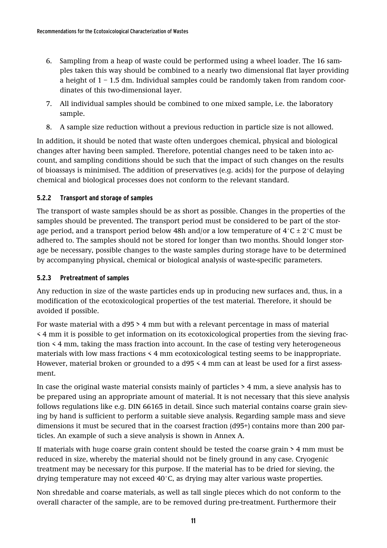- 6. Sampling from a heap of waste could be performed using a wheel loader. The 16 samples taken this way should be combined to a nearly two dimensional flat layer providing a height of  $1 - 1.5$  dm. Individual samples could be randomly taken from random coordinates of this two-dimensional layer.
- 7. All individual samples should be combined to one mixed sample, i.e. the laboratory sample.
- 8. A sample size reduction without a previous reduction in particle size is not allowed.

In addition, it should be noted that waste often undergoes chemical, physical and biological changes after having been sampled. Therefore, potential changes need to be taken into account, and sampling conditions should be such that the impact of such changes on the results of bioassays is minimised. The addition of preservatives (e.g. acids) for the purpose of delaying chemical and biological processes does not conform to the relevant standard.

#### <span id="page-10-0"></span>**5.2.2 Transport and storage of samples**

The transport of waste samples should be as short as possible. Changes in the properties of the samples should be prevented. The transport period must be considered to be part of the storage period, and a transport period below 48h and/or a low temperature of  $4^{\circ}$ C  $\pm$  2 $^{\circ}$ C must be adhered to. The samples should not be stored for longer than two months. Should longer storage be necessary, possible changes to the waste samples during storage have to be determined by accompanying physical, chemical or biological analysis of waste-specific parameters.

#### <span id="page-10-1"></span>**5.2.3 Pretreatment of samples**

Any reduction in size of the waste particles ends up in producing new surfaces and, thus, in a modification of the ecotoxicological properties of the test material. Therefore, it should be avoided if possible.

For waste material with a d95 > 4 mm but with a relevant percentage in mass of material < 4 mm it is possible to get information on its ecotoxicological properties from the sieving fraction < 4 mm, taking the mass fraction into account. In the case of testing very heterogeneous materials with low mass fractions < 4 mm ecotoxicological testing seems to be inappropriate. However, material broken or grounded to a d95 < 4 mm can at least be used for a first assessment.

In case the original waste material consists mainly of particles > 4 mm, a sieve analysis has to be prepared using an appropriate amount of material. It is not necessary that this sieve analysis follows regulations like e.g. DIN 66165 in detail. Since such material contains coarse grain sieving by hand is sufficient to perform a suitable sieve analysis. Regarding sample mass and sieve dimensions it must be secured that in the coarsest fraction (d95+) contains more than 200 particles. An example of such a sieve analysis is shown in Annex A.

If materials with huge coarse grain content should be tested the coarse grain > 4 mm must be reduced in size, whereby the material should not be finely ground in any case. Cryogenic treatment may be necessary for this purpose. If the material has to be dried for sieving, the drying temperature may not exceed 40°C, as drying may alter various waste properties.

Non shredable and coarse materials, as well as tall single pieces which do not conform to the overall character of the sample, are to be removed during pre-treatment. Furthermore their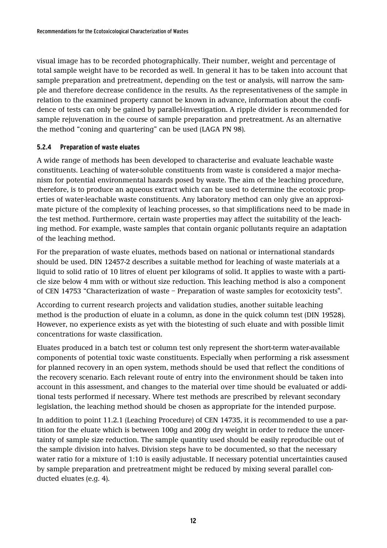visual image has to be recorded photographically. Their number, weight and percentage of total sample weight have to be recorded as well. In general it has to be taken into account that sample preparation and pretreatment, depending on the test or analysis, will narrow the sample and therefore decrease confidence in the results. As the representativeness of the sample in relation to the examined property cannot be known in advance, information about the confidence of tests can only be gained by parallel-investigation. A ripple divider is recommended for sample rejuvenation in the course of sample preparation and pretreatment. As an alternative the method "coning and quartering" can be used (LAGA PN 98).

#### <span id="page-11-0"></span>**5.2.4 Preparation of waste eluates**

A wide range of methods has been developed to characterise and evaluate leachable waste constituents. Leaching of water-soluble constituents from waste is considered a major mechanism for potential environmental hazards posed by waste. The aim of the leaching procedure, therefore, is to produce an aqueous extract which can be used to determine the ecotoxic properties of water-leachable waste constituents. Any laboratory method can only give an approximate picture of the complexity of leaching processes, so that simplifications need to be made in the test method. Furthermore, certain waste properties may affect the suitability of the leaching method. For example, waste samples that contain organic pollutants require an adaptation of the leaching method.

For the preparation of waste eluates, methods based on national or international standards should be used. DIN 12457-2 describes a suitable method for leaching of waste materials at a liquid to solid ratio of 10 litres of eluent per kilograms of solid. It applies to waste with a particle size below 4 mm with or without size reduction. This leaching method is also a component of CEN 14753 "Characterization of waste – Preparation of waste samples for ecotoxicity tests".

According to current research projects and validation studies, another suitable leaching method is the production of eluate in a column, as done in the quick column test (DIN 19528). However, no experience exists as yet with the biotesting of such eluate and with possible limit concentrations for waste classification.

Eluates produced in a batch test or column test only represent the short-term water-available components of potential toxic waste constituents. Especially when performing a risk assessment for planned recovery in an open system, methods should be used that reflect the conditions of the recovery scenario. Each relevant route of entry into the environment should be taken into account in this assessment, and changes to the material over time should be evaluated or additional tests performed if necessary. Where test methods are prescribed by relevant secondary legislation, the leaching method should be chosen as appropriate for the intended purpose.

In addition to point 11.2.1 (Leaching Procedure) of CEN 14735, it is recommended to use a partition for the eluate which is between 100g and 200g dry weight in order to reduce the uncertainty of sample size reduction. The sample quantity used should be easily reproducible out of the sample division into halves. Division steps have to be documented, so that the necessary water ratio for a mixture of 1:10 is easily adjustable. If necessary potential uncertainties caused by sample preparation and pretreatment might be reduced by mixing several parallel conducted eluates (e.g. 4).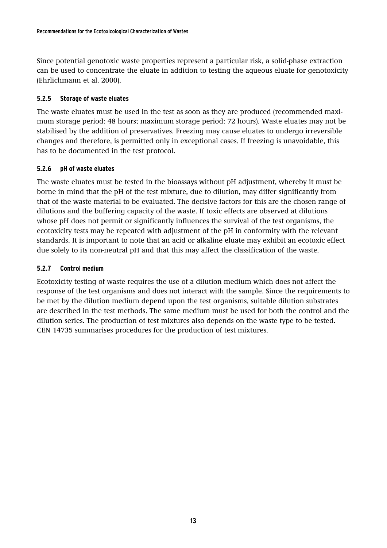Since potential genotoxic waste properties represent a particular risk, a solid-phase extraction can be used to concentrate the eluate in addition to testing the aqueous eluate for genotoxicity (Ehrlichmann et al. 2000).

#### <span id="page-12-0"></span>**5.2.5 Storage of waste eluates**

The waste eluates must be used in the test as soon as they are produced (recommended maximum storage period: 48 hours; maximum storage period: 72 hours). Waste eluates may not be stabilised by the addition of preservatives. Freezing may cause eluates to undergo irreversible changes and therefore, is permitted only in exceptional cases. If freezing is unavoidable, this has to be documented in the test protocol.

#### <span id="page-12-1"></span>**5.2.6 pH of waste eluates**

The waste eluates must be tested in the bioassays without pH adjustment, whereby it must be borne in mind that the pH of the test mixture, due to dilution, may differ significantly from that of the waste material to be evaluated. The decisive factors for this are the chosen range of dilutions and the buffering capacity of the waste. If toxic effects are observed at dilutions whose pH does not permit or significantly influences the survival of the test organisms, the ecotoxicity tests may be repeated with adjustment of the pH in conformity with the relevant standards. It is important to note that an acid or alkaline eluate may exhibit an ecotoxic effect due solely to its non-neutral pH and that this may affect the classification of the waste.

#### <span id="page-12-2"></span>**5.2.7 Control medium**

Ecotoxicity testing of waste requires the use of a dilution medium which does not affect the response of the test organisms and does not interact with the sample. Since the requirements to be met by the dilution medium depend upon the test organisms, suitable dilution substrates are described in the test methods. The same medium must be used for both the control and the dilution series. The production of test mixtures also depends on the waste type to be tested. CEN 14735 summarises procedures for the production of test mixtures.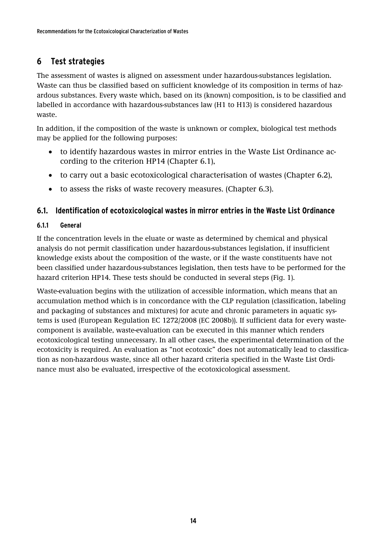# <span id="page-13-0"></span>**6 Test strategies**

The assessment of wastes is aligned on assessment under hazardous-substances legislation. Waste can thus be classified based on sufficient knowledge of its composition in terms of hazardous substances. Every waste which, based on its (known) composition, is to be classified and labelled in accordance with hazardous-substances law (H1 to H13) is considered hazardous waste.

In addition, if the composition of the waste is unknown or complex, biological test methods may be applied for the following purposes:

- to identify hazardous wastes in mirror entries in the Waste List Ordinance according to the criterion HP14 (Chapter 6.1),
- to carry out a basic ecotoxicological characterisation of wastes (Chapter 6.2),
- to assess the risks of waste recovery measures. (Chapter 6.3).

## <span id="page-13-1"></span>**6.1. Identification of ecotoxicological wastes in mirror entries in the Waste List Ordinance**

## <span id="page-13-2"></span>**6.1.1 General**

If the concentration levels in the eluate or waste as determined by chemical and physical analysis do not permit classification under hazardous-substances legislation, if insufficient knowledge exists about the composition of the waste, or if the waste constituents have not been classified under hazardous-substances legislation, then tests have to be performed for the hazard criterion HP14. These tests should be conducted in several steps (Fig. 1).

Waste-evaluation begins with the utilization of accessible information, which means that an accumulation method which is in concordance with the CLP regulation (classification, labeling and packaging of substances and mixtures) for acute and chronic parameters in aquatic systems is used (European Regulation EC 1272/2008 (EC 2008b)). If sufficient data for every wastecomponent is available, waste-evaluation can be executed in this manner which renders ecotoxicological testing unnecessary. In all other cases, the experimental determination of the ecotoxicity is required. An evaluation as "not ecotoxic" does not automatically lead to classification as non-hazardous waste, since all other hazard criteria specified in the Waste List Ordinance must also be evaluated, irrespective of the ecotoxicological assessment.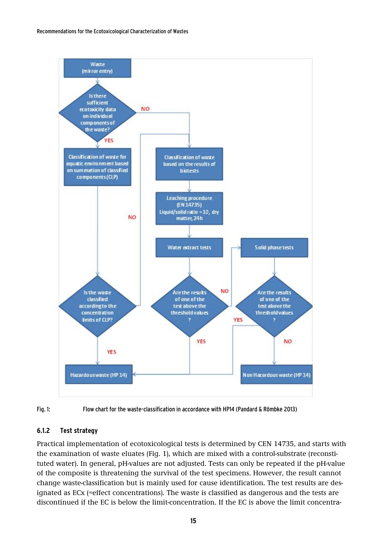



Fig. 1: Flow chart for the waste-classification in accordance with HP14 (Pandard & Römbke 2013)

#### <span id="page-14-0"></span>**6.1.2 Test strategy**

Practical implementation of ecotoxicological tests is determined by CEN 14735, and starts with the examination of waste eluates (Fig. 1), which are mixed with a control-substrate (reconstituted water). In general, pH-values are not adjusted. Tests can only be repeated if the pH-value of the composite is threatening the survival of the test specimens. However, the result cannot change waste-classification but is mainly used for cause identification. The test results are designated as ECx (=effect concentrations). The waste is classified as dangerous and the tests are discontinued if the EC is below the limit-concentration. If the EC is above the limit concentra-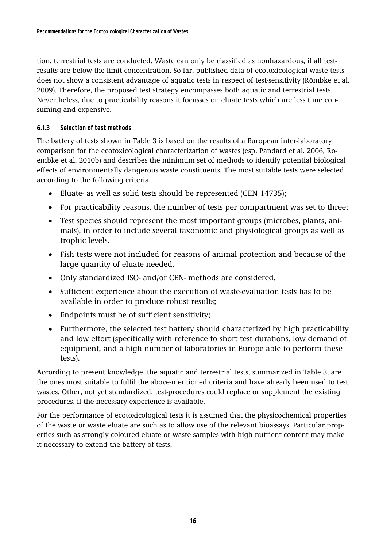tion, terrestrial tests are conducted. Waste can only be classified as nonhazardous, if all testresults are below the limit concentration. So far, published data of ecotoxicological waste tests does not show a consistent advantage of aquatic tests in respect of test-sensitivity (Römbke et al. 2009). Therefore, the proposed test strategy encompasses both aquatic and terrestrial tests. Nevertheless, due to practicability reasons it focusses on eluate tests which are less time consuming and expensive.

#### <span id="page-15-0"></span>**6.1.3 Selection of test methods**

The battery of tests shown in Table 3 is based on the results of a European inter-laboratory comparison for the ecotoxicological characterization of wastes (esp. Pandard et al. 2006, Roembke et al. 2010b) and describes the minimum set of methods to identify potential biological effects of environmentally dangerous waste constituents. The most suitable tests were selected according to the following criteria:

- Eluate- as well as solid tests should be represented (CEN 14735);
- For practicability reasons, the number of tests per compartment was set to three;
- Test species should represent the most important groups (microbes, plants, animals), in order to include several taxonomic and physiological groups as well as trophic levels.
- Fish tests were not included for reasons of animal protection and because of the large quantity of eluate needed.
- Only standardized ISO- and/or CEN- methods are considered.
- Sufficient experience about the execution of waste-evaluation tests has to be available in order to produce robust results;
- Endpoints must be of sufficient sensitivity;
- Furthermore, the selected test battery should characterized by high practicability and low effort (specifically with reference to short test durations, low demand of equipment, and a high number of laboratories in Europe able to perform these tests).

According to present knowledge, the aquatic and terrestrial tests, summarized in Table 3, are the ones most suitable to fulfil the above-mentioned criteria and have already been used to test wastes. Other, not yet standardized, test-procedures could replace or supplement the existing procedures, if the necessary experience is available.

For the performance of ecotoxicological tests it is assumed that the physicochemical properties of the waste or waste eluate are such as to allow use of the relevant bioassays. Particular properties such as strongly coloured eluate or waste samples with high nutrient content may make it necessary to extend the battery of tests.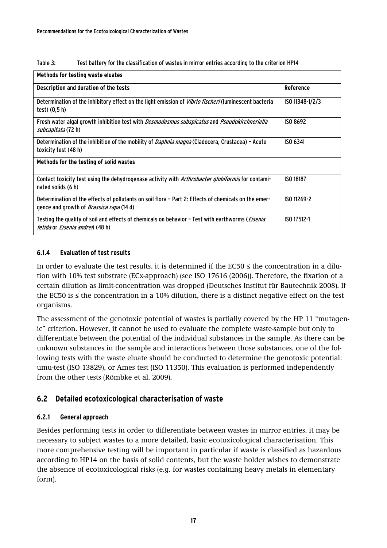| Table 3: |  |  | Test battery for the classification of wastes in mirror entries according to the criterion HP14 |
|----------|--|--|-------------------------------------------------------------------------------------------------|
|          |  |  |                                                                                                 |

| Methods for testing waste eluates                                                                                                                           |                  |
|-------------------------------------------------------------------------------------------------------------------------------------------------------------|------------------|
| Description and duration of the tests                                                                                                                       | <b>Reference</b> |
| Determination of the inhibitory effect on the light emission of Vibrio fischeri (luminescent bacteria<br>test) (0,5 h)                                      | ISO 11348-1/2/3  |
| Fresh water algal growth inhibition test with Desmodesmus subspicatus and Pseudokirchneriella<br><i>subcapitata</i> (72 h)                                  | ISO 8692         |
| Determination of the inhibition of the mobility of <i>Daphnia magna</i> (Cladocera, Crustacea) - Acute<br>toxicity test (48 h)                              | ISO 6341         |
| Methods for the testing of solid wastes                                                                                                                     |                  |
| Contact toxicity test using the dehydrogenase activity with <i>Arthrobacter globiformis</i> for contami-<br>nated solids (6 h)                              | <b>ISO 18187</b> |
| Determination of the effects of pollutants on soil flora - Part 2: Effects of chemicals on the emer-<br>gence and growth of <i>Brassica rapa</i> (14 d)     | ISO 11269-2      |
| Testing the quality of soil and effects of chemicals on behavior – Test with earthworms ( <i>Eisenia</i><br><i>fetida</i> or <i>Eisenia andrei</i> ) (48 h) | ISO 17512-1      |

#### <span id="page-16-0"></span>**6.1.4 Evaluation of test results**

In order to evaluate the test results, it is determined if the  $EC50 \le$  the concentration in a dilution with 10% test substrate (ECx-approach) (see ISO 17616 (2006)). Therefore, the fixation of a certain dilution as limit-concentration was dropped (Deutsches Institut für Bautechnik 2008). If the EC50 is ≤ the concentration in a 10% dilution, there is a distinct negative effect on the test organisms.

The assessment of the genotoxic potential of wastes is partially covered by the HP 11 "mutagenic" criterion. However, it cannot be used to evaluate the complete waste-sample but only to differentiate between the potential of the individual substances in the sample. As there can be unknown substances in the sample and interactions between those substances, one of the following tests with the waste eluate should be conducted to determine the genotoxic potential: umu-test (ISO 13829), or Ames test (ISO 11350). This evaluation is performed independently from the other tests (Römbke et al. 2009).

## <span id="page-16-1"></span>**6.2 Detailed ecotoxicological characterisation of waste**

## <span id="page-16-2"></span>**6.2.1 General approach**

Besides performing tests in order to differentiate between wastes in mirror entries, it may be necessary to subject wastes to a more detailed, basic ecotoxicological characterisation. This more comprehensive testing will be important in particular if waste is classified as hazardous according to HP14 on the basis of solid contents, but the waste holder wishes to demonstrate the absence of ecotoxicological risks (e.g. for wastes containing heavy metals in elementary form).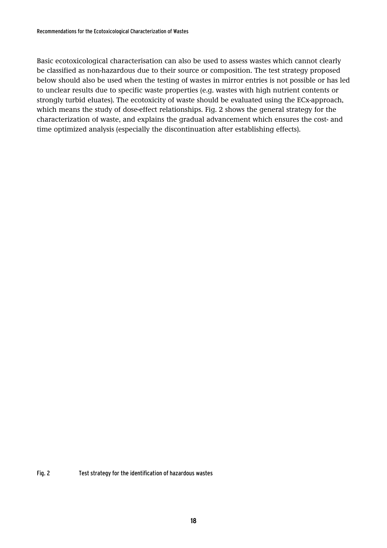Basic ecotoxicological characterisation can also be used to assess wastes which cannot clearly be classified as non-hazardous due to their source or composition. The test strategy proposed below should also be used when the testing of wastes in mirror entries is not possible or has led to unclear results due to specific waste properties (e.g. wastes with high nutrient contents or strongly turbid eluates). The ecotoxicity of waste should be evaluated using the ECx-approach, which means the study of dose-effect relationships. Fig. 2 shows the general strategy for the characterization of waste, and explains the gradual advancement which ensures the cost- and time optimized analysis (especially the discontinuation after establishing effects).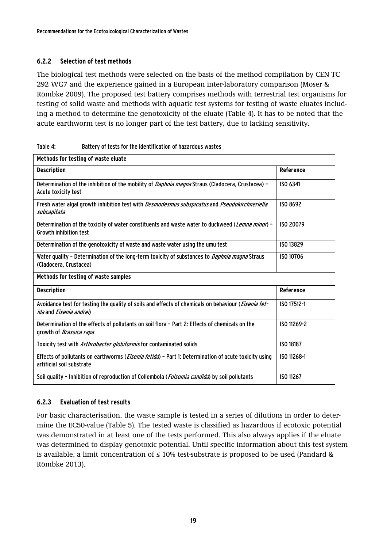#### <span id="page-18-0"></span>**6.2.2 Selection of test methods**

The biological test methods were selected on the basis of the method compilation by CEN TC 292 WG7 and the experience gained in a European inter-laboratory comparison (Moser & Römbke 2009). The proposed test battery comprises methods with terrestrial test organisms for testing of solid waste and methods with aquatic test systems for testing of waste eluates including a method to determine the genotoxicity of the eluate (Table 4). It has to be noted that the acute earthworm test is no longer part of the test battery, due to lacking sensitivity.

| Table 4: | Battery of tests for the identification of hazardous wastes |
|----------|-------------------------------------------------------------|

| Methods for testing of waste eluate                                                                                                           |             |
|-----------------------------------------------------------------------------------------------------------------------------------------------|-------------|
| <b>Description</b>                                                                                                                            | Reference   |
| Determination of the inhibition of the mobility of <i>Daphnia magna</i> Straus (Cladocera, Crustacea) -<br>Acute toxicity test                | ISO 6341    |
| Fresh water algal growth inhibition test with Desmodesmus subspicatus and Pseudokirchneriella<br>subcapitata                                  | ISO 8692    |
| Determination of the toxicity of water constituents and waste water to duckweed (Lemna minor) -<br><b>Growth inhibition test</b>              | ISO 20079   |
| Determination of the genotoxicity of waste and waste water using the umu test                                                                 | ISO 13829   |
| Water quality - Determination of the long-term toxicity of substances to <i>Daphnia magna</i> Straus<br>(Cladocera, Crustacea)                | ISO 10706   |
| Methods for testing of waste samples                                                                                                          |             |
| <b>Description</b>                                                                                                                            | Reference   |
| Avoidance test for testing the quality of soils and effects of chemicals on behaviour (Eisenia fet-<br><i>ida</i> and <i>Eisenia andrei</i> ) | ISO 17512-1 |
| Determination of the effects of pollutants on soil flora - Part 2: Effects of chemicals on the<br>growth of <i>Brassica rapa</i>              | ISO 11269-2 |
| Toxicity test with Arthrobacter globiformis for contaminated solids                                                                           | ISO 18187   |
| Effects of pollutants on earthworms ( <i>Eisenia fetida</i> ) - Part 1: Determination of acute toxicity using<br>artificial soil substrate    | ISO 11268-1 |
| Soil quality - Inhibition of reproduction of Collembola (Folsomia candida) by soil pollutants                                                 | ISO 11267   |

## <span id="page-18-1"></span>**6.2.3 Evaluation of test results**

For basic characterisation, the waste sample is tested in a series of dilutions in order to determine the EC50-value (Table 5). The tested waste is classified as hazardous if ecotoxic potential was demonstrated in at least one of the tests performed. This also always applies if the eluate was determined to display genotoxic potential. Until specific information about this test system is available, a limit concentration of  $\leq 10\%$  test-substrate is proposed to be used (Pandard & Römbke 2013).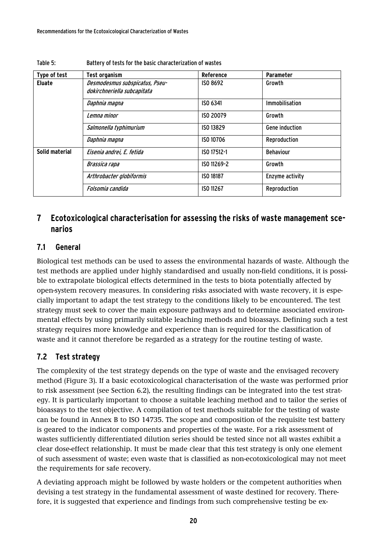| Type of test   | <b>Test organism</b>                                          | Reference        | Parameter             |
|----------------|---------------------------------------------------------------|------------------|-----------------------|
| <b>Eluate</b>  | Desmodesmus subspicatus, Pseu-<br>dokirchneriella subcapitata | ISO 8692         | Growth                |
|                | Daphnia magna                                                 | ISO 6341         | Immobilisation        |
|                | Lemna minor                                                   | ISO 20079        | Growth                |
|                | Salmonella typhimurium                                        | ISO 13829        | <b>Gene induction</b> |
|                | Daphnia magna                                                 | ISO 10706        | Reproduction          |
| Solid material | Eisenia andrei, E. fetida                                     | ISO 17512-1      | <b>Behaviour</b>      |
|                | Brassica rapa                                                 | ISO 11269-2      | Growth                |
|                | Arthrobacter globiformis                                      | <b>ISO 18187</b> | Enzyme activity       |
|                | Folsomia candida                                              | ISO 11267        | Reproduction          |

#### Table 5: Battery of tests for the basic characterization of wastes

## <span id="page-19-0"></span>**7 Ecotoxicological characterisation for assessing the risks of waste management scenarios**

## <span id="page-19-1"></span>**7.1 General**

Biological test methods can be used to assess the environmental hazards of waste. Although the test methods are applied under highly standardised and usually non-field conditions, it is possible to extrapolate biological effects determined in the tests to biota potentially affected by open-system recovery measures. In considering risks associated with waste recovery, it is especially important to adapt the test strategy to the conditions likely to be encountered. The test strategy must seek to cover the main exposure pathways and to determine associated environmental effects by using primarily suitable leaching methods and bioassays. Defining such a test strategy requires more knowledge and experience than is required for the classification of waste and it cannot therefore be regarded as a strategy for the routine testing of waste.

## <span id="page-19-2"></span>**7.2 Test strategy**

The complexity of the test strategy depends on the type of waste and the envisaged recovery method (Figure 3). If a basic ecotoxicological characterisation of the waste was performed prior to risk assessment (see Section 6.2), the resulting findings can be integrated into the test strategy. It is particularly important to choose a suitable leaching method and to tailor the series of bioassays to the test objective. A compilation of test methods suitable for the testing of waste can be found in Annex B to ISO 14735. The scope and composition of the requisite test battery is geared to the indicator components and properties of the waste. For a risk assessment of wastes sufficiently differentiated dilution series should be tested since not all wastes exhibit a clear dose-effect relationship. It must be made clear that this test strategy is only one element of such assessment of waste; even waste that is classified as non-ecotoxicological may not meet the requirements for safe recovery.

A deviating approach might be followed by waste holders or the competent authorities when devising a test strategy in the fundamental assessment of waste destined for recovery. Therefore, it is suggested that experience and findings from such comprehensive testing be ex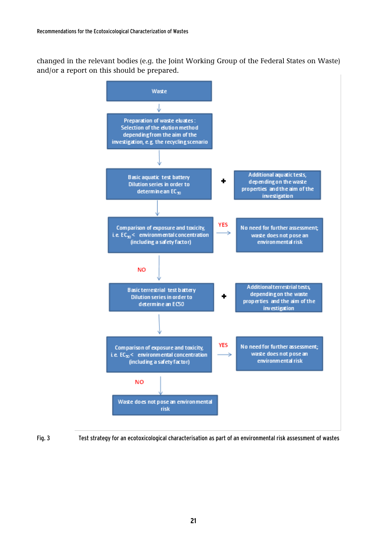changed in the relevant bodies (e.g. the Joint Working Group of the Federal States on Waste) and/or a report on this should be prepared.



Fig. 3 Test strategy for an ecotoxicological characterisation as part of an environmental risk assessment of wastes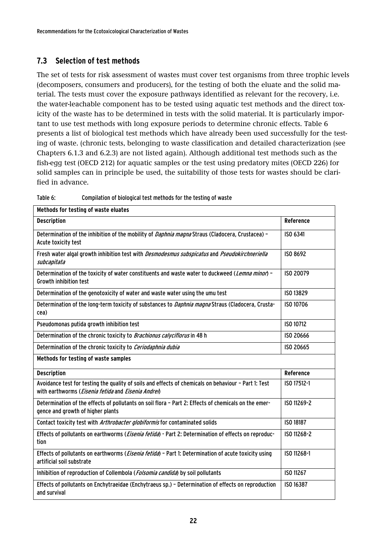## <span id="page-21-0"></span>**7.3 Selection of test methods**

The set of tests for risk assessment of wastes must cover test organisms from three trophic levels (decomposers, consumers and producers), for the testing of both the eluate and the solid material. The tests must cover the exposure pathways identified as relevant for the recovery, i.e. the water-leachable component has to be tested using aquatic test methods and the direct toxicity of the waste has to be determined in tests with the solid material. It is particularly important to use test methods with long exposure periods to determine chronic effects. Table 6 presents a list of biological test methods which have already been used successfully for the testing of waste. (chronic tests, belonging to waste classification and detailed characterization (see Chapters 6.1.3 and 6.2.3) are not listed again). Although additional test methods such as the fish-egg test (OECD 212) for aquatic samples or the test using predatory mites (OECD 226) for solid samples can in principle be used, the suitability of those tests for wastes should be clarified in advance.

| Methods for testing of waste eluates                                                                                                                                        |             |
|-----------------------------------------------------------------------------------------------------------------------------------------------------------------------------|-------------|
|                                                                                                                                                                             |             |
| <b>Description</b>                                                                                                                                                          | Reference   |
| Determination of the inhibition of the mobility of <i>Daphnia magna</i> Straus (Cladocera, Crustacea) -<br>Acute toxicity test                                              | ISO 6341    |
| Fresh water algal growth inhibition test with Desmodesmus subspicatus and Pseudokirchneriella<br>subcapitata                                                                | ISO 8692    |
| Determination of the toxicity of water constituents and waste water to duckweed (Lemna minor) -<br><b>Growth inhibition test</b>                                            | ISO 20079   |
| Determination of the genotoxicity of water and waste water using the umu test                                                                                               | ISO 13829   |
| Determination of the long-term toxicity of substances to <i>Daphnia magna</i> Straus (Cladocera, Crusta-<br>cea)                                                            | ISO 10706   |
| Pseudomonas putida growth inhibition test                                                                                                                                   | ISO 10712   |
| Determination of the chronic toxicity to Brachionus calyciflorus in 48 h                                                                                                    | ISO 20666   |
| Determination of the chronic toxicity to Ceriodaphnia dubia                                                                                                                 | ISO 20665   |
| Methods for testing of waste samples                                                                                                                                        |             |
| <b>Description</b>                                                                                                                                                          | Reference   |
| Avoidance test for testing the quality of soils and effects of chemicals on behaviour - Part 1: Test<br>with earthworms ( <i>Eisenia fetida</i> and <i>Eisenia Andrei</i> ) | ISO 17512-1 |
| Determination of the effects of pollutants on soil flora - Part 2: Effects of chemicals on the emer-<br>gence and growth of higher plants                                   | ISO 11269-2 |
| Contact toxicity test with Arthrobacter globiformis for contaminated solids                                                                                                 | ISO 18187   |
| Effects of pollutants on earthworms ( <i>Eisenia fetida</i> ) - Part 2: Determination of effects on reproduc-<br>tion                                                       | ISO 11268-2 |
| Effects of pollutants on earthworms ( <i>Eisenia fetida</i> ) - Part 1: Determination of acute toxicity using<br>artificial soil substrate                                  | ISO 11268-1 |
| Inhibition of reproduction of Collembola (Folsomia candida) by soil pollutants                                                                                              | ISO 11267   |
| Effects of pollutants on Enchytraeidae (Enchytraeus sp.) - Determination of effects on reproduction<br>and survival                                                         | ISO 16387   |

Table 6: Compilation of biological test methods for the testing of waste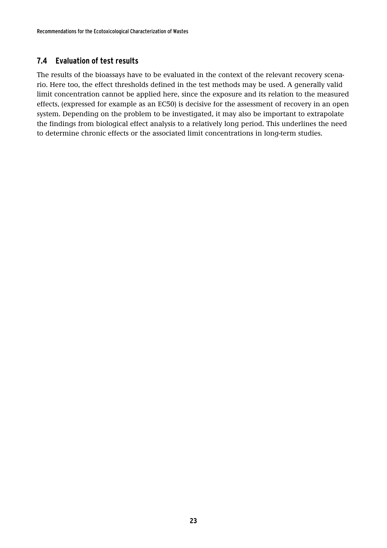## <span id="page-22-0"></span>**7.4 Evaluation of test results**

The results of the bioassays have to be evaluated in the context of the relevant recovery scenario. Here too, the effect thresholds defined in the test methods may be used. A generally valid limit concentration cannot be applied here, since the exposure and its relation to the measured effects, (expressed for example as an EC50) is decisive for the assessment of recovery in an open system. Depending on the problem to be investigated, it may also be important to extrapolate the findings from biological effect analysis to a relatively long period. This underlines the need to determine chronic effects or the associated limit concentrations in long-term studies.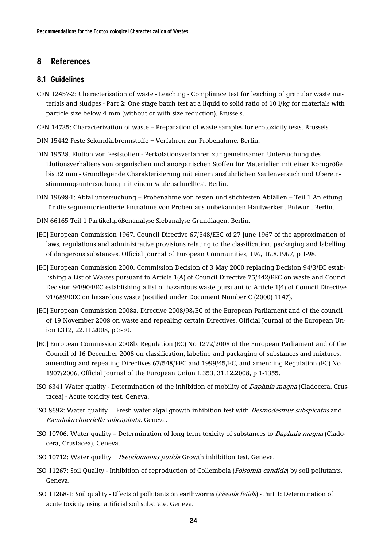## <span id="page-23-0"></span>**8 References**

#### <span id="page-23-1"></span>**8.1 Guidelines**

- CEN 12457-2: Characterisation of waste Leaching Compliance test for leaching of granular waste materials and sludges - Part 2: One stage batch test at a liquid to solid ratio of 10 l/kg for materials with particle size below 4 mm (without or with size reduction). Brussels.
- CEN 14735: Characterization of waste Preparation of waste samples for ecotoxicity tests. Brussels.
- DIN 15442 Feste Sekundärbrennstoffe Verfahren zur Probenahme. Berlin.
- [DIN 19528.](http://www.beuth.de/langanzeige/DIN+19528/de/100211508.html&limitationtype=&searchaccesskey=main) Elution von Feststoffen Perkolationsverfahren zur gemeinsamen Untersuchung des Elutionsverhaltens von organischen und anorganischen Stoffen für Materialien mit einer Korngröße bis 32 mm - Grundlegende Charakterisierung mit einem ausführlichen Säulenversuch und Übereinstimmungsuntersuchung mit einem Säulenschnelltest. Berlin.
- DIN 19698-1: Abfalluntersuchung Probenahme von festen und stichfesten Abfällen Teil 1 Anleitung für die segmentorientierte Entnahme von Proben aus unbekannten Haufwerken, Entwurf. Berlin.
- DIN 66165 Teil 1 Partikelgrößenanalyse Siebanalyse Grundlagen. Berlin.
- [EC] European Commission 1967. Council Directive 67/548/EEC of 27 June 1967 of the approximation of laws, regulations and administrative provisions relating to the classification, packaging and labelling of dangerous substances. Official Journal of European Communities, 196, 16.8.1967, p 1-98.
- [EC] European Commission 2000. Commission Decision of 3 May 2000 replacing Decision 94/3/EC establishing a List of Wastes pursuant to Article 1(A) of Council Directive 75/442/EEC on waste and Council Decision 94/904/EC establishing a list of hazardous waste pursuant to Article 1(4) of Council Directive 91/689/EEC on hazardous waste (notified under Document Number C (2000) 1147).
- [EC] European Commission 2008a. Directive 2008/98/EC of the European Parliament and of the council of 19 November 2008 on waste and repealing certain Directives, Official Journal of the European Union L312, 22.11.2008, p 3-30.
- [EC] European Commission 2008b. Regulation (EC) No 1272/2008 of the European Parliament and of the Council of 16 December 2008 on classification, labeling and packaging of substances and mixtures, amending and repealing Directives 67/548/EEC and 1999/45/EC, and amending Regulation (EC) No 1907/2006, Official Journal of the European Union L 353, 31.12.2008, p 1-1355.
- ISO 6341 Water quality Determination of the inhibition of mobility of Daphnia magna (Cladocera, Crustacea) - Acute toxicity test. Geneva.
- ISO 8692: Water quality Fresh water algal growth inhibition test with Desmodesmus subspicatus and Pseudokirchneriella subcapitata. Geneva.
- ISO 10706: Water quality -- Determination of long term toxicity of substances to *Daphnia magna* (Cladocera, Crustacea). Geneva.
- ISO 10712: Water quality Pseudomonas putida Growth inhibition test. Geneva.
- ISO 11267: Soil Quality Inhibition of reproduction of Collembola (Folsomia candida) by soil pollutants. Geneva.
- ISO 11268-1: Soil quality Effects of pollutants on earthworms (Eisenia fetida) Part 1: Determination of acute toxicity using artificial soil substrate. Geneva.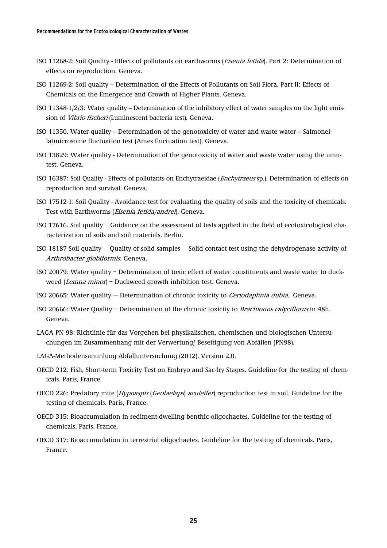- ISO 11268-2: Soil Quality Effects of pollutants on earthworms (Eisenia fetida). Part 2: Determination of effects on reproduction. Geneva.
- ISO 11269-2: Soil quality Determination of the Effects of Pollutants on Soil Flora. Part II: Effects of Chemicals on the Emergence and Growth of Higher Plants. Geneva.
- ISO 11348-1/2/3: Water quality Determination of the inhibitory effect of water samples on the light emission of Vibrio fischeri (Luminescent bacteria test). Geneva.
- ISO 11350. Water quality -- Determination of the genotoxicity of water and waste water -- Salmonella/microsome fluctuation test (Ames fluctuation test). Geneva.
- ISO 13829: Water quality Determination of the genotoxicity of water and waste water using the umutest. Geneva.
- ISO 16387: Soil Quality Effects of pollutants on Enchytraeidae (Enchytraeus sp.). Determination of effects on reproduction and survival. Geneva.
- ISO 17512-1: Soil Quality Avoidance test for evaluating the quality of soils and the toxicity of chemicals. Test with Earthworms (Eisenia fetida/andrei). Geneva.
- ISO 17616. Soil quality Guidance on the assessment of tests applied in the field of ecotoxicological characterization of soils and soil materials. Berlin.
- ISO 18187 Soil quality Quality of solid samples Solid contact test using the dehydrogenase activity of Arthrobacter globiformis. Geneva.
- ISO 20079: Water quality Determination of toxic effect of water constituents and waste water to duckweed (Lemna minor) – Duckweed growth inhibition test. Geneva.
- ISO 20665: Water quality Determination of chronic toxicity to Ceriodaphnia dubia.. Geneva.
- ISO 20666: Water Quality Determination of the chronic toxicity to Brachionus calyciflorus in 48h. Geneva.
- LAGA PN 98: Richtlinie für das Vorgehen bei physikalischen, chemischen und biologischen Untersuchungen im Zusammenhang mit der Verwertung/ Beseitigung von Abfällen (PN98).
- LAGA-Methodensammlung Abfalluntersuchung (2012), Version 2.0.
- OECD 212: Fish, Short-term Toxicity Test on Embryo and Sac-fry Stages. Guideline for the testing of chemicals. Paris, France.
- OECD 226: Predatory mite (Hypoaspis (Geolaelaps) aculeifer) reproduction test in soil. Guideline for the testing of chemicals. Paris, France.
- OECD 315: Bioaccumulation in sediment-dwelling benthic oligochaetes. Guideline for the testing of chemicals. Paris, France.
- OECD 317: Bioaccumulation in terrestrial oligochaetes. Guideline for the testing of chemicals. Paris, France.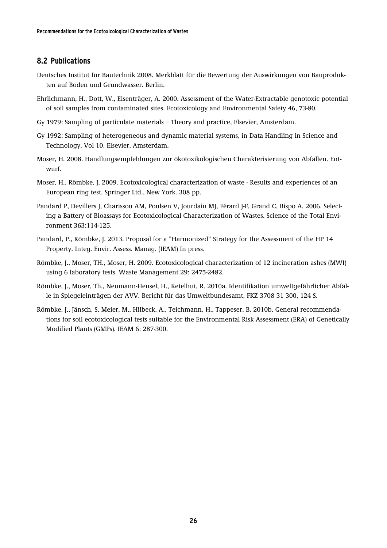## <span id="page-25-0"></span>**8.2 Publications**

- Deutsches Institut für Bautechnik 2008. Merkblatt für die Bewertung der Auswirkungen von Bauprodukten auf Boden und Grundwasser. Berlin.
- Ehrlichmann, H., Dott, W., Eisenträger, A. 2000. Assessment of the Water-Extractable genotoxic potential of soil samples from contaminated sites. Ecotoxicology and Environmental Safety 46, 73-80.
- Gy 1979: Sampling of particulate materials Theory and practice, Elsevier, Amsterdam.
- Gy 1992: Sampling of heterogeneous and dynamic material systems, in Data Handling in Science and Technology, Vol 10, Elsevier, Amsterdam.
- Moser, H. 2008. Handlungsempfehlungen zur ökotoxikologischen Charakterisierung von Abfällen. Entwurf.
- Moser, H., Römbke, J. 2009. Ecotoxicological characterization of waste Results and experiences of an European ring test. Springer Ltd., New York. 308 pp.
- Pandard P, Devillers J, Charissou AM, Poulsen V, Jourdain MJ, Férard J-F, Grand C, Bispo A. 2006. Selecting a Battery of Bioassays for Ecotoxicological Characterization of Wastes. Science of the Total Environment 363:114-125.
- Pandard, P., Römbke, J. 2013. Proposal for a "Harmonized" Strategy for the Assessment of the HP 14 Property. Integ. Envir. Assess. Manag. (IEAM) In press.
- Römbke, J., Moser, TH., Moser, H. 2009. Ecotoxicological characterization of 12 incineration ashes (MWI) using 6 laboratory tests. Waste Management 29: 2475-2482.
- Römbke, J., Moser, Th., Neumann-Hensel, H., Ketelhut, R. 2010a. Identifikation umweltgefährlicher Abfälle in Spiegeleinträgen der AVV. Bericht für das Umweltbundesamt, FKZ 3708 31 300, 124 S.
- Römbke, J., Jänsch, S. Meier, M., Hilbeck, A., Teichmann, H., Tappeser, B. 2010b. General recommendations for soil ecotoxicological tests suitable for the Environmental Risk Assessment (ERA) of Genetically Modified Plants (GMPs). IEAM 6: 287-300.